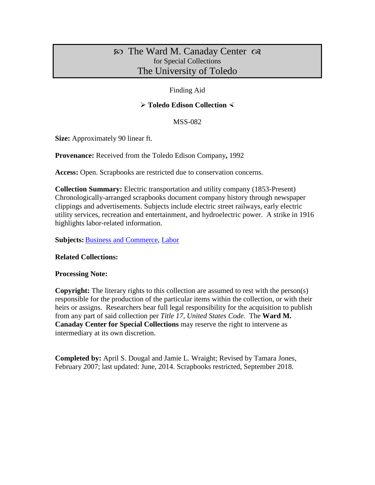# The Ward M. Canaday Center for Special Collections The University of Toledo

## Finding Aid

# **Toledo Edison Collection**

#### MSS-082

**Size:** Approximately 90 linear ft.

**Provenance:** Received from the Toledo Edison Company**,** 1992

**Access:** Open. Scrapbooks are restricted due to conservation concerns.

**Collection Summary:** Electric transportation and utility company (1853-Present) Chronologically-arranged scrapbooks document company history through newspaper clippings and advertisements. Subjects include electric street railways, early electric utility services, recreation and entertainment, and hydroelectric power. A strike in 1916 highlights labor-related information.

**Subjects: [Business and Commerce,](http://www.utoledo.edu/library/canaday/guidepages/business.html) [Labor](http://www.utoledo.edu/library/canaday/guidepages/labor.html)** 

## **Related Collections:**

#### **Processing Note:**

**Copyright:** The literary rights to this collection are assumed to rest with the person(s) responsible for the production of the particular items within the collection, or with their heirs or assigns. Researchers bear full legal responsibility for the acquisition to publish from any part of said collection per *Title 17, United States Code*. The **Ward M. Canaday Center for Special Collections** may reserve the right to intervene as intermediary at its own discretion.

**Completed by:** April S. Dougal and Jamie L. Wraight; Revised by Tamara Jones, February 2007; last updated: June, 2014. Scrapbooks restricted, September 2018.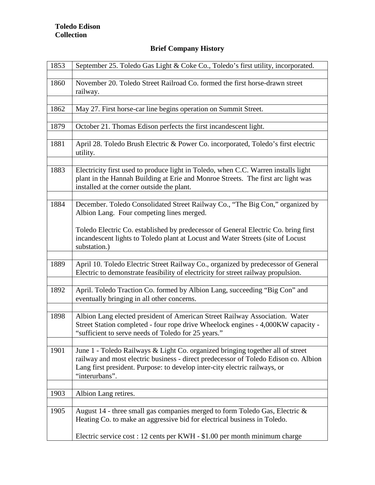# **Brief Company History**

| 1853 | September 25. Toledo Gas Light & Coke Co., Toledo's first utility, incorporated.                                                                                                                                                                                      |
|------|-----------------------------------------------------------------------------------------------------------------------------------------------------------------------------------------------------------------------------------------------------------------------|
| 1860 | November 20. Toledo Street Railroad Co. formed the first horse-drawn street<br>railway.                                                                                                                                                                               |
|      |                                                                                                                                                                                                                                                                       |
| 1862 | May 27. First horse-car line begins operation on Summit Street.                                                                                                                                                                                                       |
|      |                                                                                                                                                                                                                                                                       |
| 1879 | October 21. Thomas Edison perfects the first incandescent light.                                                                                                                                                                                                      |
| 1881 | April 28. Toledo Brush Electric & Power Co. incorporated, Toledo's first electric<br>utility.                                                                                                                                                                         |
|      |                                                                                                                                                                                                                                                                       |
| 1883 | Electricity first used to produce light in Toledo, when C.C. Warren installs light<br>plant in the Hannah Building at Erie and Monroe Streets. The first arc light was<br>installed at the corner outside the plant.                                                  |
|      |                                                                                                                                                                                                                                                                       |
| 1884 | December. Toledo Consolidated Street Railway Co., "The Big Con," organized by<br>Albion Lang. Four competing lines merged.                                                                                                                                            |
|      | Toledo Electric Co. established by predecessor of General Electric Co. bring first<br>incandescent lights to Toledo plant at Locust and Water Streets (site of Locust<br>substation.)                                                                                 |
|      |                                                                                                                                                                                                                                                                       |
| 1889 | April 10. Toledo Electric Street Railway Co., organized by predecessor of General<br>Electric to demonstrate feasibility of electricity for street railway propulsion.                                                                                                |
|      |                                                                                                                                                                                                                                                                       |
| 1892 | April. Toledo Traction Co. formed by Albion Lang, succeeding "Big Con" and<br>eventually bringing in all other concerns.                                                                                                                                              |
|      |                                                                                                                                                                                                                                                                       |
| 1898 | Albion Lang elected president of American Street Railway Association. Water<br>Street Station completed - four rope drive Wheelock engines - 4,000KW capacity -<br>"sufficient to serve needs of Toledo for 25 years."                                                |
|      |                                                                                                                                                                                                                                                                       |
| 1901 | June 1 - Toledo Railways & Light Co. organized bringing together all of street<br>railway and most electric business - direct predecessor of Toledo Edison co. Albion<br>Lang first president. Purpose: to develop inter-city electric railways, or<br>"interurbans". |
|      |                                                                                                                                                                                                                                                                       |
| 1903 | Albion Lang retires.                                                                                                                                                                                                                                                  |
|      |                                                                                                                                                                                                                                                                       |
| 1905 | August 14 - three small gas companies merged to form Toledo Gas, Electric $\&$<br>Heating Co. to make an aggressive bid for electrical business in Toledo.                                                                                                            |
|      | Electric service cost : 12 cents per KWH - \$1.00 per month minimum charge                                                                                                                                                                                            |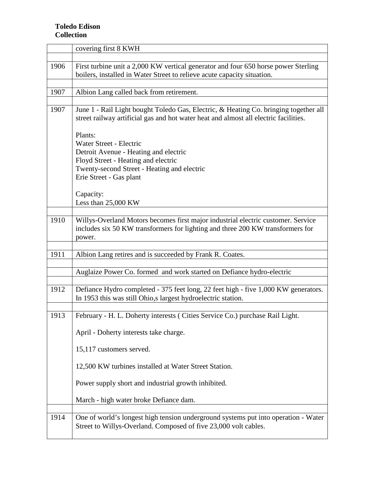|      | covering first 8 KWH                                                                                                                                                         |  |
|------|------------------------------------------------------------------------------------------------------------------------------------------------------------------------------|--|
|      |                                                                                                                                                                              |  |
| 1906 | First turbine unit a 2,000 KW vertical generator and four 650 horse power Sterling<br>boilers, installed in Water Street to relieve acute capacity situation.                |  |
|      |                                                                                                                                                                              |  |
| 1907 | Albion Lang called back from retirement.                                                                                                                                     |  |
|      |                                                                                                                                                                              |  |
| 1907 | June 1 - Rail Light bought Toledo Gas, Electric, & Heating Co. bringing together all<br>street railway artificial gas and hot water heat and almost all electric facilities. |  |
|      | Plants:                                                                                                                                                                      |  |
|      | Water Street - Electric                                                                                                                                                      |  |
|      | Detroit Avenue - Heating and electric                                                                                                                                        |  |
|      | Floyd Street - Heating and electric                                                                                                                                          |  |
|      | Twenty-second Street - Heating and electric                                                                                                                                  |  |
|      | Erie Street - Gas plant                                                                                                                                                      |  |
|      |                                                                                                                                                                              |  |
|      | Capacity:                                                                                                                                                                    |  |
|      | Less than 25,000 KW                                                                                                                                                          |  |
| 1910 | Willys-Overland Motors becomes first major industrial electric customer. Service                                                                                             |  |
|      | includes six 50 KW transformers for lighting and three 200 KW transformers for                                                                                               |  |
|      | power.                                                                                                                                                                       |  |
|      |                                                                                                                                                                              |  |
| 1911 | Albion Lang retires and is succeeded by Frank R. Coates.                                                                                                                     |  |
|      |                                                                                                                                                                              |  |
|      | Auglaize Power Co. formed and work started on Defiance hydro-electric                                                                                                        |  |
|      |                                                                                                                                                                              |  |
| 1912 | Defiance Hydro completed - 375 feet long, 22 feet high - five 1,000 KW generators.<br>In 1953 this was still Ohio, slargest hydroelectric station.                           |  |
|      |                                                                                                                                                                              |  |
| 1913 | February - H. L. Doherty interests ( Cities Service Co.) purchase Rail Light.                                                                                                |  |
|      | April - Doherty interests take charge.                                                                                                                                       |  |
|      | 15,117 customers served.                                                                                                                                                     |  |
|      | 12,500 KW turbines installed at Water Street Station.                                                                                                                        |  |
|      | Power supply short and industrial growth inhibited.                                                                                                                          |  |
|      | March - high water broke Defiance dam.                                                                                                                                       |  |
| 1914 | One of world's longest high tension underground systems put into operation - Water<br>Street to Willys-Overland. Composed of five 23,000 volt cables.                        |  |
|      |                                                                                                                                                                              |  |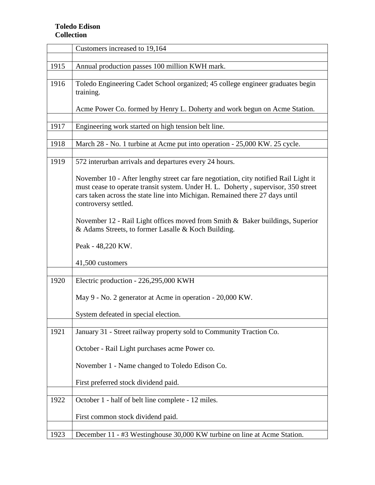|      | Customers increased to 19,164                                                                                                                                                                                                                                                     |  |  |
|------|-----------------------------------------------------------------------------------------------------------------------------------------------------------------------------------------------------------------------------------------------------------------------------------|--|--|
|      |                                                                                                                                                                                                                                                                                   |  |  |
| 1915 | Annual production passes 100 million KWH mark.                                                                                                                                                                                                                                    |  |  |
|      |                                                                                                                                                                                                                                                                                   |  |  |
| 1916 | Toledo Engineering Cadet School organized; 45 college engineer graduates begin<br>training.                                                                                                                                                                                       |  |  |
|      | Acme Power Co. formed by Henry L. Doherty and work begun on Acme Station.                                                                                                                                                                                                         |  |  |
|      |                                                                                                                                                                                                                                                                                   |  |  |
| 1917 | Engineering work started on high tension belt line.                                                                                                                                                                                                                               |  |  |
|      |                                                                                                                                                                                                                                                                                   |  |  |
| 1918 | March 28 - No. 1 turbine at Acme put into operation - 25,000 KW. 25 cycle.                                                                                                                                                                                                        |  |  |
|      |                                                                                                                                                                                                                                                                                   |  |  |
| 1919 | 572 interurban arrivals and departures every 24 hours.                                                                                                                                                                                                                            |  |  |
|      | November 10 - After lengthy street car fare negotiation, city notified Rail Light it<br>must cease to operate transit system. Under H. L. Doherty, supervisor, 350 street<br>cars taken across the state line into Michigan. Remained there 27 days until<br>controversy settled. |  |  |
|      | November 12 - Rail Light offices moved from Smith & Baker buildings, Superior<br>& Adams Streets, to former Lasalle & Koch Building.                                                                                                                                              |  |  |
|      | Peak - 48,220 KW.                                                                                                                                                                                                                                                                 |  |  |
|      | 41,500 customers                                                                                                                                                                                                                                                                  |  |  |
|      |                                                                                                                                                                                                                                                                                   |  |  |
| 1920 | Electric production - 226,295,000 KWH                                                                                                                                                                                                                                             |  |  |
|      | May 9 - No. 2 generator at Acme in operation - 20,000 KW.                                                                                                                                                                                                                         |  |  |
|      | System defeated in special election.                                                                                                                                                                                                                                              |  |  |
|      |                                                                                                                                                                                                                                                                                   |  |  |
| 1921 | January 31 - Street railway property sold to Community Traction Co.                                                                                                                                                                                                               |  |  |
|      | October - Rail Light purchases acme Power co.                                                                                                                                                                                                                                     |  |  |
|      | November 1 - Name changed to Toledo Edison Co.                                                                                                                                                                                                                                    |  |  |
|      | First preferred stock dividend paid.                                                                                                                                                                                                                                              |  |  |
|      |                                                                                                                                                                                                                                                                                   |  |  |
| 1922 | October 1 - half of belt line complete - 12 miles.                                                                                                                                                                                                                                |  |  |
|      | First common stock dividend paid.                                                                                                                                                                                                                                                 |  |  |
|      |                                                                                                                                                                                                                                                                                   |  |  |
| 1923 | December 11 - #3 Westinghouse 30,000 KW turbine on line at Acme Station.                                                                                                                                                                                                          |  |  |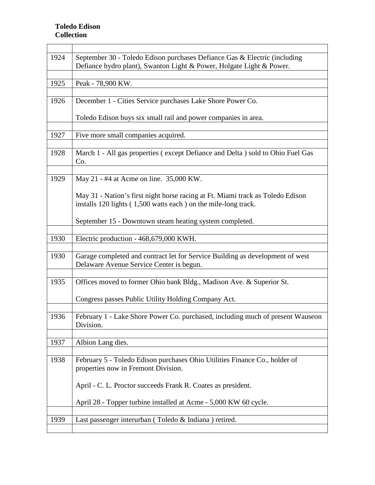| 1924 | September 30 - Toledo Edison purchases Defiance Gas & Electric (including<br>Defiance hydro plant), Swanton Light & Power, Holgate Light & Power. |
|------|---------------------------------------------------------------------------------------------------------------------------------------------------|
| 1925 | Peak - 78,900 KW.                                                                                                                                 |
| 1926 | December 1 - Cities Service purchases Lake Shore Power Co.                                                                                        |
|      | Toledo Edison buys six small rail and power companies in area.                                                                                    |
| 1927 | Five more small companies acquired.                                                                                                               |
| 1928 | March 1 - All gas properties (except Defiance and Delta) sold to Ohio Fuel Gas<br>Co.                                                             |
| 1929 | May 21 - #4 at Acme on line. 35,000 KW.                                                                                                           |
|      | May 31 - Nation's first night horse racing at Ft. Miami track as Toledo Edison<br>installs 120 lights (1,500 watts each) on the mile-long track.  |
|      | September 15 - Downtown steam heating system completed.                                                                                           |
| 1930 | Electric production - 468,679,000 KWH.                                                                                                            |
| 1930 | Garage completed and contract let for Service Building as development of west<br>Delaware Avenue Service Center is begun.                         |
| 1935 | Offices moved to former Ohio bank Bldg., Madison Ave. & Superior St.                                                                              |
|      | Congress passes Public Utility Holding Company Act.                                                                                               |
| 1936 | February 1 - Lake Shore Power Co. purchased, including much of present Wauseon<br>Division.                                                       |
| 1937 | Albion Lang dies.                                                                                                                                 |
| 1938 | February 5 - Toledo Edison purchases Ohio Utilities Finance Co., holder of<br>properties now in Fremont Division.                                 |
|      | April - C. L. Proctor succeeds Frank R. Coates as president.                                                                                      |
|      | April 28 - Topper turbine installed at Acme - 5,000 KW 60 cycle.                                                                                  |
| 1939 | Last passenger interurban (Toledo & Indiana) retired.                                                                                             |
|      |                                                                                                                                                   |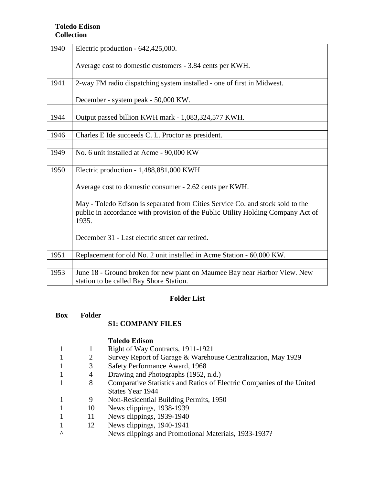| 1940 | Electric production - 642,425,000.                                               |  |  |
|------|----------------------------------------------------------------------------------|--|--|
|      | Average cost to domestic customers - 3.84 cents per KWH.                         |  |  |
|      |                                                                                  |  |  |
| 1941 | 2-way FM radio dispatching system installed - one of first in Midwest.           |  |  |
|      | December - system peak - 50,000 KW.                                              |  |  |
|      |                                                                                  |  |  |
| 1944 | Output passed billion KWH mark - 1,083,324,577 KWH.                              |  |  |
|      |                                                                                  |  |  |
| 1946 | Charles E Ide succeeds C. L. Proctor as president.                               |  |  |
|      |                                                                                  |  |  |
| 1949 | No. 6 unit installed at Acme - 90,000 KW                                         |  |  |
|      |                                                                                  |  |  |
| 1950 | Electric production - 1,488,881,000 KWH                                          |  |  |
|      |                                                                                  |  |  |
|      | Average cost to domestic consumer - 2.62 cents per KWH.                          |  |  |
|      | May - Toledo Edison is separated from Cities Service Co. and stock sold to the   |  |  |
|      | public in accordance with provision of the Public Utility Holding Company Act of |  |  |
|      | 1935.                                                                            |  |  |
|      |                                                                                  |  |  |
|      | December 31 - Last electric street car retired.                                  |  |  |
|      |                                                                                  |  |  |
| 1951 | Replacement for old No. 2 unit installed in Acme Station - 60,000 KW.            |  |  |
|      |                                                                                  |  |  |
| 1953 | June 18 - Ground broken for new plant on Maumee Bay near Harbor View. New        |  |  |
|      | station to be called Bay Shore Station.                                          |  |  |

## **Folder List**

| Box | Folder |
|-----|--------|
|     |        |

## **S1: COMPANY FILES**

### **Toledo Edison**

- 1 1 Right of Way Contracts, 1911-1921
- 2 Survey Report of Garage & Warehouse Centralization, May 1929<br>
3 Safety Performance Award, 1968
- 1 3 Safety Performance Award, 1968
- 1 4 Drawing and Photographs (1952, n.d.)
- 1 8 Comparative Statistics and Ratios of Electric Companies of the United States Year 1944
- 1 9 Non-Residential Building Permits, 1950
- 1 10 News clippings, 1938-1939
- 1 11 News clippings, 1939-1940
- 1 12 News clippings, 1940-1941
	- News clippings and Promotional Materials, 1933-1937?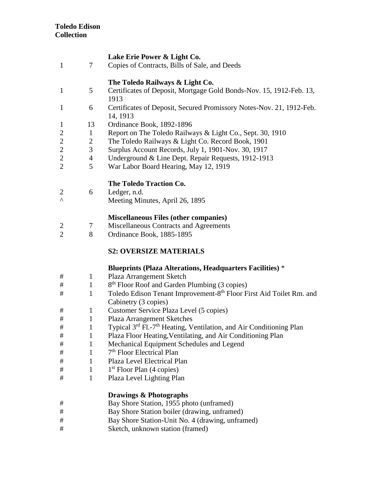### **Lake Erie Power & Light Co.**

1 7 Copies of Contracts, Bills of Sale, and Deeds

# **The Toledo Railways & Light Co.**

- 1 5 Certificates of Deposit, Mortgage Gold Bonds-Nov. 15, 1912-Feb. 13, 1913
- 1 6 Certificates of Deposit, Secured Promissory Notes-Nov. 21, 1912-Feb. 14, 1913
- 1 13 Ordinance Book, 1892-1896
- 2 1 Report on The Toledo Railways & Light Co., Sept. 30, 1910
- 2 2 The Toledo Railways & Light Co. Record Book, 1901<br>2 3 Surplus Account Records, July 1, 1901-Nov. 30, 1917
- Surplus Account Records, July 1, 1901-Nov. 30, 1917
- 2 4 Underground & Line Dept. Repair Requests, 1912-1913<br>2 5 War Labor Board Hearing, May 12, 1919
- War Labor Board Hearing, May 12, 1919

# **The Toledo Traction Co.**

- 2 6 Ledger, n.d.
- ^ Meeting Minutes, April 26, 1895

# **Miscellaneous Files (other companies)**

- 2 7 Miscellaneous Contracts and Agreements
- 2 8 Ordinance Book, 1885-1895

# **S2: OVERSIZE MATERIALS**

## **Blueprints (Plaza Alterations, Headquarters Facilities)** \*

- # 1 Plaza Arrangement Sketch
- $\#$  1 8<sup>th</sup> Floor Roof and Garden Plumbing (3 copies)
- # 1 Toledo Edison Tenant Improvement-8<sup>th</sup> Floor First Aid Toilet Rm. and Cabinetry (3 copies)
- # 1 Customer Service Plaza Level (5 copies)
- # 1 Plaza Arrangement Sketches
- # 1 Typical 3rd Fl.-7th Heating, Ventilation, and Air Conditioning Plan
- # 1 Plaza Floor Heating,Ventilating, and Air Conditioning Plan
- # 1 Mechanical Equipment Schedules and Legend
- # 1 7th Floor Electrical Plan
- # 1 Plaza Level Electrical Plan
- $\#$  1 1<sup>st</sup> Floor Plan (4 copies)
- # 1 Plaza Level Lighting Plan

## **Drawings & Photographs**

- # Bay Shore Station, 1955 photo (unframed)
- # Bay Shore Station boiler (drawing, unframed)
- # Bay Shore Station-Unit No. 4 (drawing, unframed)
- # Sketch, unknown station (framed)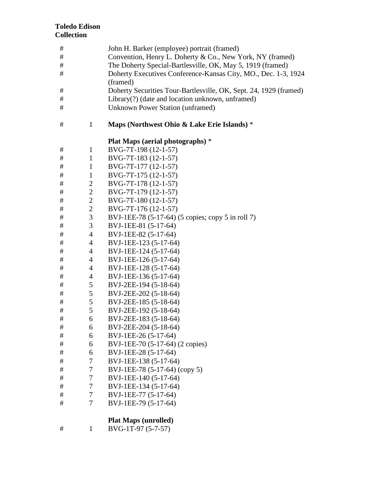| #       |                | John H. Barker (employee) portrait (framed)                       |
|---------|----------------|-------------------------------------------------------------------|
| $\#$    |                | Convention, Henry L. Doherty & Co., New York, NY (framed)         |
| $\#$    |                | The Doherty Special-Bartlesville, OK, May 5, 1919 (framed)        |
| $\#$    |                | Doherty Executives Conference-Kansas City, MO., Dec. 1-3, 1924    |
|         |                | (framed)                                                          |
| #       |                | Doherty Securities Tour-Bartlesville, OK, Sept. 24, 1929 (framed) |
| $\#$    |                | Library(?) (date and location unknown, unframed)                  |
| #       |                | <b>Unknown Power Station (unframed)</b>                           |
| #       | $\mathbf{1}$   | Maps (Northwest Ohio & Lake Erie Islands) *                       |
|         |                | Plat Maps (aerial photographs) *                                  |
| #       | $\mathbf{1}$   | BVG-7T-198 (12-1-57)                                              |
| #       | $\mathbf{1}$   | BVG-7T-183 (12-1-57)                                              |
| #       | $\mathbf{1}$   | BVG-7T-177 (12-1-57)                                              |
| #       | $\mathbf{1}$   | BVG-7T-175 (12-1-57)                                              |
| #       | $\overline{c}$ | BVG-7T-178 (12-1-57)                                              |
| $\#$    | $\mathbf{2}$   | BVG-7T-179 (12-1-57)                                              |
| $\#$    | $\sqrt{2}$     | BVG-7T-180 (12-1-57)                                              |
| $\#$    | $\overline{2}$ | BVG-7T-176 (12-1-57)                                              |
| #       | $\mathfrak{Z}$ | BVJ-1EE-78 (5-17-64) (5 copies; copy 5 in roll 7)                 |
| $\#$    | $\mathfrak{Z}$ | BVJ-1EE-81 (5-17-64)                                              |
| $\#$    | $\overline{4}$ | BVJ-1EE-82 (5-17-64)                                              |
| #       | $\overline{4}$ | BVJ-1EE-123 (5-17-64)                                             |
| #       | $\overline{4}$ | BVJ-1EE-124 (5-17-64)                                             |
| #       | $\overline{4}$ | BVJ-1EE-126 (5-17-64)                                             |
| #       | $\overline{4}$ | BVJ-1EE-128 (5-17-64)                                             |
| #       | $\overline{4}$ | BVJ-1EE-136 (5-17-64)                                             |
| $\#$    | 5              | BVJ-2EE-194 (5-18-64)                                             |
| $\#$    | $\mathfrak{S}$ | BVJ-2EE-202 (5-18-64)                                             |
| #       | 5              | BVJ-2EE-185 (5-18-64)                                             |
| $\#$    | 5              | BVJ-2EE-192 (5-18-64)                                             |
| $\#$    | 6              | BVJ-2EE-183 (5-18-64)                                             |
| #       | 6              | BVJ-2EE-204 (5-18-64)                                             |
| $\#$    | 6              | BVJ-1EE-26 (5-17-64)                                              |
| $^{\#}$ | 6              | BVJ-1EE-70 (5-17-64) (2 copies)                                   |
| $\#$    | 6              | BVJ-1EE-28 (5-17-64)                                              |
| $\#$    | $\tau$         | BVJ-1EE-138 (5-17-64)                                             |
| $\#$    | $\tau$         | BVJ-1EE-78 (5-17-64) (copy 5)                                     |
| $\#$    | $\tau$         | BVJ-1EE-140 (5-17-64)                                             |
| #       | 7              | BVJ-1EE-134 (5-17-64)                                             |
| $\#$    | $\tau$         | BVJ-1EE-77 (5-17-64)                                              |
| $\#$    | 7              | BVJ-1EE-79 (5-17-64)                                              |
|         |                | <b>Plat Maps (unrolled)</b>                                       |
|         |                |                                                                   |

# 1 BVG-1T-97 (5-7-57)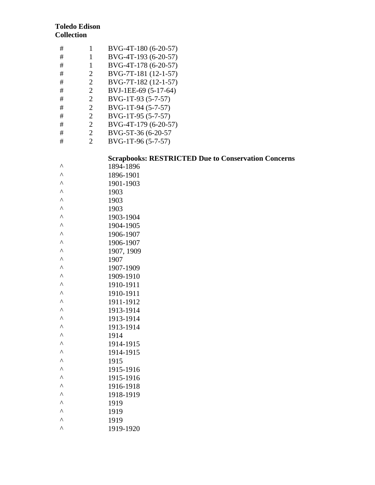| #    | $\mathbf{1}$   | BVG-4T-180 (6-20-57)                                       |
|------|----------------|------------------------------------------------------------|
| $\#$ | $\mathbf{1}$   | BVG-4T-193 (6-20-57)                                       |
| $\#$ | $\mathbf{1}$   | BVG-4T-178 (6-20-57)                                       |
| #    | $\mathbf{2}$   | BVG-7T-181 (12-1-57)                                       |
| $\#$ | $\sqrt{2}$     | BVG-7T-182 (12-1-57)                                       |
| $\#$ | $\overline{2}$ | BVJ-1EE-69 (5-17-64)                                       |
| #    | $\overline{c}$ | BVG-1T-93 (5-7-57)                                         |
| $\#$ | $\overline{2}$ | BVG-1T-94 (5-7-57)                                         |
| $\#$ | $\sqrt{2}$     | BVG-1T-95 (5-7-57)                                         |
| #    | $\sqrt{2}$     | BVG-4T-179 (6-20-57)                                       |
| $\#$ | $\mathbf{2}$   | BVG-5T-36 (6-20-57                                         |
| $\#$ | $\overline{2}$ | BVG-1T-96 (5-7-57)                                         |
|      |                |                                                            |
|      |                | <b>Scrapbooks: RESTRICTED Due to Conservation Concerns</b> |
| Λ    |                | 1894-1896                                                  |
| Λ    |                | 1896-1901                                                  |
| Λ    |                | 1901-1903                                                  |
| ۸    |                | 1903                                                       |
| ۸    |                | 1903                                                       |
| ۸    |                | 1903                                                       |
| ۸    |                | 1903-1904                                                  |
| Λ    |                | 1904-1905                                                  |
| ۸    |                | 1906-1907                                                  |
| ۸    |                | 1906-1907                                                  |
| ۸    |                | 1907, 1909                                                 |
| ۸    |                | 1907                                                       |
| Λ    |                | 1907-1909                                                  |
| ۸    |                | 1909-1910                                                  |
| ۸    |                | 1910-1911                                                  |
| ۸    |                | 1910-1911                                                  |
| ۸    |                | 1911-1912                                                  |
| Λ    |                | 1913-1914                                                  |
| Λ    |                | 1913-1914                                                  |
| ۸    |                | 1913-1914                                                  |
| Λ    |                | 1914                                                       |
| Λ    |                | 1914-1915                                                  |
| Λ    |                | 1914-1915                                                  |
| ۸    |                | 1915                                                       |
| Λ    |                | 1915-1916                                                  |
| Λ    |                | 1915-1916                                                  |
| Λ    |                | 1916-1918                                                  |
| Λ    |                | 1918-1919                                                  |
| Λ    |                | 1919                                                       |
| Λ    |                | 1919                                                       |
| Λ    |                | 1919                                                       |
| Λ    |                | 1919-1920                                                  |